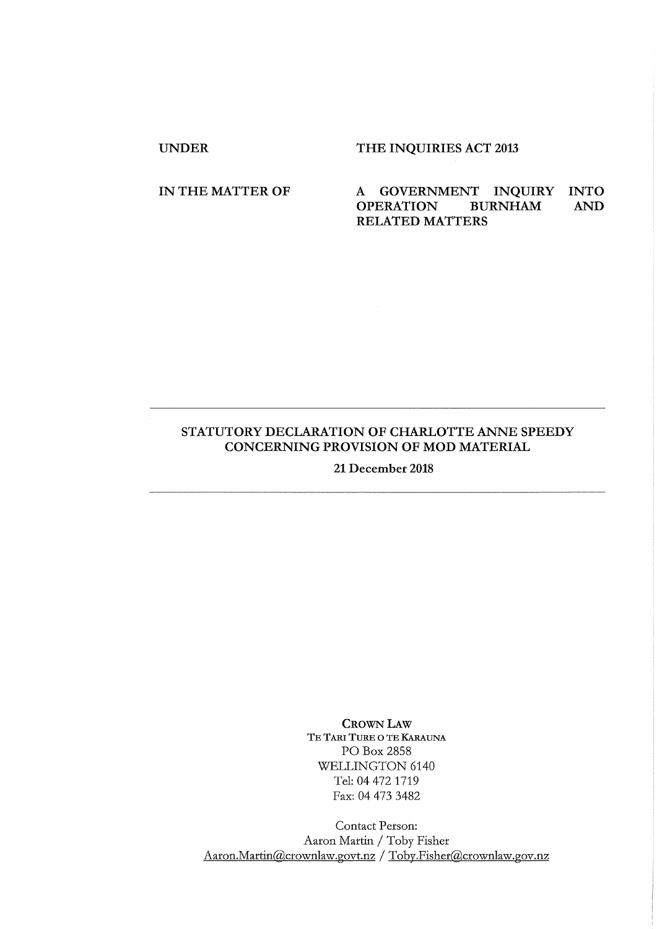## UNDER THE INQUIRIES ACT 2013

IN THE MATTER OF A GOVERNMENT INQUIRY INTO AND OPERATION BURNHAM AND **OPERATION** RELATED MATTERS

## STATUTORY DECLARATION OF CHARLOTTE ANNE SPEEDY CONCERNING PROVISION OF MOD MATERIAL

21 December 2018

CROWN LAW TE TARI TURE O TE KARAUNA PO Box 2858 WELLINGTON 6140 Tel: 04 472 1719 Fax: 04 473 3482

Contact Person: Aaron Martin / Toby Fisher Aaron.Martin@crownlaw.govt.nz/ Toby.Fisher@crownlaw.gov.nz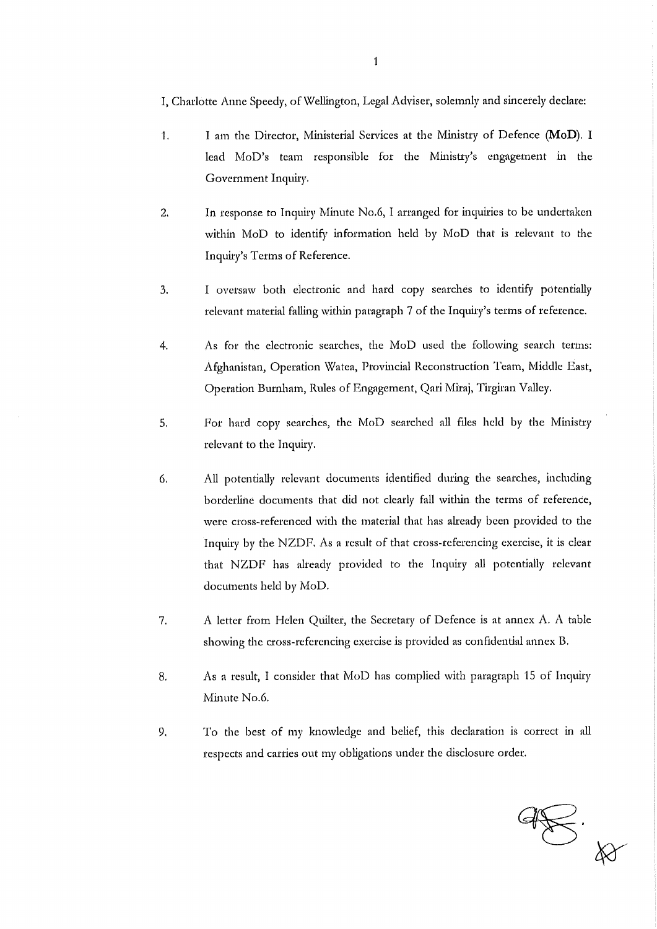I, Charlotte Anne Speedy, of Wellington, Legal Adviser, solemnly and sincerely declare:

- I am the Director, Ministerial Services at the Nlinistry of Defence **(MoD).** I  $\mathbf{1}$ . lead MoD's team responsible for the Ministry's engagement in the Government Inquiry.
- 2. In response to Inquiry Minute No.6, I arranged for inquiries to be undertaken within MoD to identify information held by MoD that is relevant to the Inquiry's Terms of Reference.
- 3. I oversaw both electronic and hard copy searches to identify potentially relevant material falling within paragraph 7 of the Inquiry's terms of reference.
- 4. As for the electronic searches, the MoD used the following search terms: Afghanistan, Operation Watea, Provincial Reconstruction Team, Middle East, Operation Burnham, Rules of Engagement, Qari Miraj, Tirgiran Valley.
- 5. For hard copy searches, the MoD searched all files held by the Ministry relevant to the Inquiry.
- 6. All potentially relevant documents identified during the searches, including borderline documents that did not clearly fall within the terms of reference, were cross-referenced with the material that has already been provided to the Inquiry by the NZDF, As a result of that cross-referencing exercise, it is clear that N%DF has already provided to the Inquiry all potentially relevant documents held by MoD.
- 7. A letter from Helen Quilter, the Secretary of Defence is at annex A. A table showing die cross-referencing exercise is provided as confidential annex B.
- 8. As a result, I consider that MoD has complied with paragraph 15 of Inquiry Minute No.6.
- 9. To the best of my knowledge and belief, this declaration is correct in all respects and carries out my obligations under the disclosure order.

 $48.8$